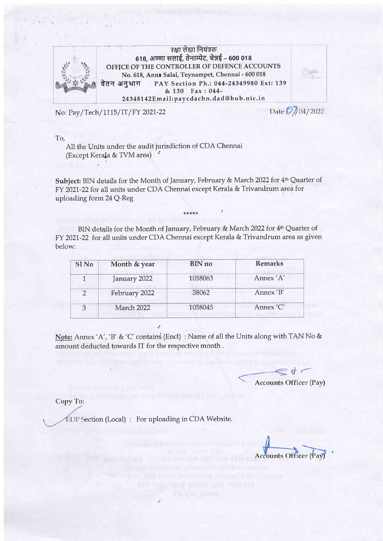

7क्षा लेखा नियंत्रक<br>618, अण्णा सलाई, तेनाम्पेट, चेन्नई - 600 018 OFFICE OF THE CONTROLLER OF DEFENCE ACCOUNTS No. 618, Anna Salai, Teynampet, Chennai - 600 018 वेतन अनुभाग PAY Section Ph.: 044-24349980 Ext: 139  $& 130$  Fax: 044-24348142Email: paycdachn. dad@hub.nic.in

No: Pay/Tech/1115/IT/FY 2021-22

Date: 0 / 04/2022

To,

All the Units under the audit jurisdiction of CDA Chennai (Except Kera[a & TVM area) <sup>7</sup>

Subject: BIN details for the Month of January, February & March 2022 for 4<sup>th</sup> Quarter of FY 2021-22 for all units under CDA Chennai except Kerala & Trivandrum area for uploading forrn 24 Q-Reg

\*\*\*\*\*

BIN details for the Month of January, February & March 2022 for 4<sup>th</sup> Quarter of FY 2021-22 for all units under CDA Chennai except Kerala & Trivandrum area as given below:

| Sl <sub>No</sub> | Month & year  | BIN no  | <b>Remarks</b> |
|------------------|---------------|---------|----------------|
|                  | January 2022  | 1058063 | Annex 'A'      |
| $\mathcal{D}$    | February 2022 | 58062   | Annex 'B'      |
| 3                | March 2022    | 1058045 | Annex 'C'      |

Note: Annex 'A', 'B' & 'C' contains (Encl) : Name of all the Units along with TAN No & amount deducted towards IT for the respective month ,

**BOSTON OSS OF LIVE FOR** 

 $\leq$  0  $\leq$ **Accounts Officer (Pay)** 

Copy To:

 $EDP$  Section (Local) : For uploading in CDA Website.

 $\overline{1}$ 

**Accounts Officer (Pay)**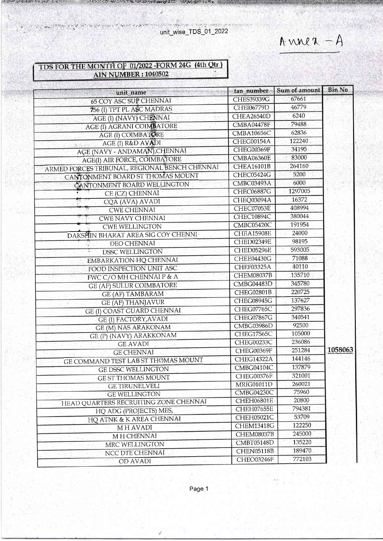The complete state of the state of the unit\_wise\_TDS\_01\_2022

在上海 / 安全的 学生的

Anner  $-A$ 

**A. 人名伊克** 

## TDS FOR THE MONTH OF 01/2022 - FORM 24G (4th Otr) **AIN NUMBER : 1040502**

せいこうしょう あいにん エクト

THE PASSAGE

**SUPPORT AND SOLUTION CONTROL** 

the second complete that the second fluctures

| unit_name                                     | tan number -      | Sum of amount | <b>Bin No</b> |
|-----------------------------------------------|-------------------|---------------|---------------|
| <b>65 COY ASC SUP CHENNAI</b>                 | <b>CHES39339G</b> | 67661         |               |
| 756 (I) TPT PL ASC MADRAS                     | CHEI06779D        | 46779         |               |
| AGE (I) (NAVY) CHENNAI                        | CHEA26540D        | 6240          |               |
| <b>AGE (I) AGRANI COIMBATORE</b>              | CMBA04478F        | 79488         |               |
| AGE (I) COIMBATORE                            | <b>CMBA10656C</b> | 62836         |               |
| AGE (I) R&D AVADI<br>$\alpha$ . Then          | CHEG00154A        | 122240        |               |
| AGE (NAVY - ANDAMAN), CHENNAI                 | CHEG00369F        | 34195         |               |
| AGE(I) AIR FORCE, COIMBATORE                  | CMBA06360E        | 83000         |               |
| ARMED FORCES TRIBUNAL, REGIONAL BENCH CHENNAI | <b>CHEA16101B</b> | 264160        |               |
| CANTONMENT BOARD ST THOMAS MOUNT              | CHEC05424G        | 5200          |               |
| CANTONMENT BOARD WELLINGTON                   | CMBC03493A        | 6000          |               |
| CE (CZ) CHENNAI                               | CHEC06887G        | 1297005       |               |
| 26<br>CQA (AVA) AVADI                         | CHEQ03094A        | 16372         |               |
| <b>CWE CHENNAI</b>                            | CHEC07053E        | 408994        |               |
| <b>CWE NAVY CHENNAI</b>                       | CHEC10894C        | 380044        |               |
| <b>CWE WELLINGTON</b>                         | CMBC05420C        | 191954        |               |
| DAKSHIN BHARAT AREA SIG COY CHENNI            | CHEA15908E        | 24000         |               |
| DEO CHENNAI                                   | CHED02349E        | 98195         |               |
| <b>DSSC WELLINGTON</b>                        | CHED05296E        | 593005        |               |
| <b>EMBARKATION HQ CHENNAI</b>                 | CHEE04430G        | 71088         |               |
| FOOD INSPECTION UNIT ASC                      | CHEF03325A        | 40110         |               |
| FWC C/O MH CHENNAI P & A                      | <b>CHEM08037B</b> | 135710        |               |
| <b>GE (AF) SULUR COIMBATORE</b>               | CMBG04483D        | 345780        |               |
| <b>GE (AF) TAMBARAM</b>                       | CHEG02801B        | 220725        |               |
| <b>GE (AF) THANJAVUR</b>                      | <b>CHEG08945G</b> | 137627        |               |
| GE (I) COAST GUARD CHENNAI                    | CHEG07765C        | 297836        |               |
| <b>GE (I) FACTORY, AVADI</b>                  | CHEG07867G        | 340541        |               |
| GE (M) NAS ARAKONAM                           | CMBG03986D        | 92500         |               |
| GE (P) (NAVY) ARAKKONAM                       | CHEG17565C        | 105000        |               |
| <b>GE AVADI</b>                               | CHEG00233C        | 236086        |               |
| <b>GE CHENNAI</b>                             | CHEG00369F        | 251284        | 1058063       |
| GE COMMAND TEST LAB ST THOMAS MOUNT           | <b>CHEG14322A</b> | 144146        |               |
| <b>GE DSSC WELLINGTON</b>                     | CMBG04104C        | 137879        |               |
| <b>GE ST THOMAS MOUNT</b>                     | CHEG00376F        | 321001        |               |
| <b>GE TIRUNELVELI</b>                         | <b>MRIG01011D</b> | 260021        |               |
| <b>GE WELLINGTON</b>                          | CMBG04230C        | 75960         |               |
| HEAD QUARTERS RECRUITING ZONE CHENNAI         | CHEH06801E        | 20800         |               |
| HO ADG (PROJECTS) MES,                        | CHEH07655E        | 794381        |               |
| HO ATNK & K AREA CHENNAI                      | CHEH05021C        | 53709         |               |
| MH AVADI                                      | <b>CHEM13418G</b> | 122250        |               |
| M H CHENNAI                                   | CHEM08037B        | 245000        |               |
| MRC WELLINGTON                                | CMBT05148D        | 135220        |               |
| NCC DTE CHENNAI                               | CHEN05118B        | 189470        |               |
| <b>OD AVADI</b>                               | CHEO03246F        | 772103        |               |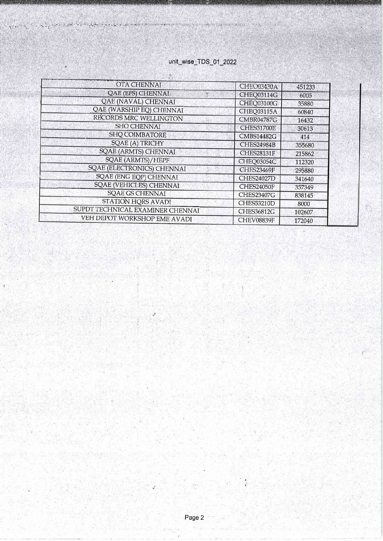## unit\_wise\_TDS\_01\_2022

Sempre a referred as a problem

ξÚα

of a speciality of the company of the property of the start of the

í

| OTA CHENNAI                       | CHEO03430A        | 451233 |
|-----------------------------------|-------------------|--------|
| <b>QAE (EFS) CHENNAI</b>          | CHEQ03114G        | 6005   |
| <b>QAE (NAVAL) CHENNAI</b>        | <b>CHEQ03100G</b> | 35880  |
| QAE (WARSHIP EQ) CHENNAI          | CHEQ03115A        | 60840  |
| RECORDS MRC WELLINGTON            | <b>CMBR04787G</b> | 16432  |
| SHO CHENNAI                       | <b>CHES31700E</b> | 30613  |
| <b>SHQ COIMBATORE</b>             | <b>CMBS14482G</b> | 414    |
| <b>SQAE (A) TRICHY</b>            | <b>CHES24984B</b> | 355680 |
| <b>SQAE (ARMTS) CHENNAI</b>       | <b>CHES28131F</b> | 215862 |
| <b>SQAE (ARMTS)/HEPF</b>          | CHEQ03054C        | 112320 |
| <b>SQAE (ELECTRONICS) CHENNAI</b> | <b>CHES23469F</b> | 295880 |
| <b>SQAE (ENG EQP) CHENNAI</b>     | <b>CHES24027D</b> | 341640 |
| <b>SQAE (VEHICLES) CHENNAI</b>    | <b>CHES24050F</b> | 357349 |
| <b>SQAE GS CHENNAI</b>            | <b>CHES23407G</b> | 838145 |
| STATION HQRS AVADI                | <b>CHES53210D</b> | 8000   |
| SUPDT TECHNICAL EXAMINER CHENNAI  | CHES36812G        | 102607 |
| VEH DEPOT WORKSHOP EME AVADI      | CHEV08839F        | 172040 |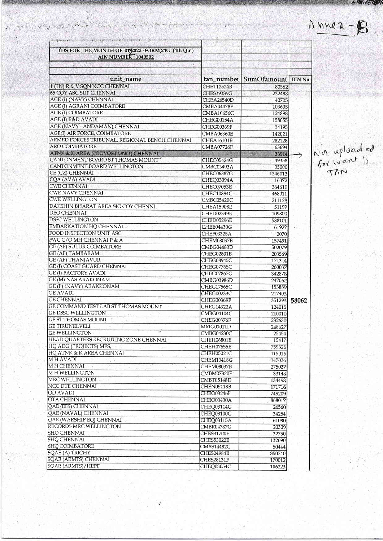| TDS FOR THE MONTH OF 01/2022 - FORM 24G (4th Otr)<br><b>AIN NUMBER: 1040502</b> |                          |                                   |       |
|---------------------------------------------------------------------------------|--------------------------|-----------------------------------|-------|
| ¥                                                                               |                          |                                   |       |
| unit_name                                                                       |                          | tan_number   SumOfamount   BIN No |       |
| 1 (TN) R & V SQN NCC CHENNAI                                                    | <b>CHET12524B</b>        |                                   |       |
| 65 COY ASC SUP CHENNAI                                                          | CHES39339G               | 80562<br>232488                   |       |
| AGE (I) (NAVY) CHENNAI                                                          | <b>CHEA26540D</b>        | 40705                             |       |
| <b>AGE (I) AGRANI COIMBATORE</b>                                                | CMBA04478F               | 103605                            |       |
| AGE (I) COIMBATORE                                                              | CMBA10656C               | 124898                            |       |
| AGE (I) R&D AVADI                                                               | CHEG00154A               | 158055                            |       |
| AGE (NAVY - ANDAMAN), CHENNAI                                                   | CHEG00369F               | 34195                             |       |
| AGE(I) AIR FORCE, COIMBATORE                                                    | <b>CMBA06360E</b>        | 142021                            |       |
| ARMED FORCES TRIBUNAL, REGIONAL BENCH CHENNAI                                   | CHEA16101B               | 282128                            |       |
| <b>ARO COIMBATORE</b>                                                           | CMBA07726F               | 63694                             |       |
| ATNK & K AREA (PROVOST UNIT) CHENNAI                                            |                          | 36914                             |       |
| CANTONMENT BOARD ST THOMAS MOUNT'                                               | CHEC05424G               | 49358                             |       |
| CANTONMENT BOARD WELLINGTON                                                     | <b>CMBC03493A</b>        | 35000                             |       |
| CE (CZ) CHENNAI<br>W                                                            | CHEC06887G               | 1346013                           |       |
| CQA (AVA) AVADI                                                                 | CHEQ03094A               | 16372                             |       |
| <b>CWE CHENNAI</b>                                                              | CHEC07053E               | 364610                            |       |
| CWE NAVY CHENNAI                                                                | CHEC10894C               | 468011                            |       |
| <b>CWE WELLINGTON</b>                                                           | CMBC05420C               | 211128                            |       |
| DAKSHIN BHARAT AREA SIG COY CHENNI                                              | <b>CHEA15908E</b>        | 51197                             |       |
| DEO CHENNAI                                                                     | CHED02349E               | 109809                            |       |
| <b>DSSC WELLINGTON</b>                                                          | <b>CHED05296E</b>        | 588101                            |       |
| EMBARKATION HQ CHENNAI                                                          | <b>CHEE04430G</b>        | 61927                             |       |
| FOOD INSPECTION UNIT ASC                                                        | CHEF03325A               | 2070                              |       |
| FWC C/O MH CHENNAI P & A<br><b>GE (AF) SULUR COIMBATORE</b>                     | <b>CHEM08037B</b>        | 157491                            |       |
| GE (AF) TAMBARAM                                                                | CMBG04483D               | 502079                            |       |
| <b>GE (AF) THANJAVUR</b>                                                        | CHEG02801B<br>CHEG08945G | 203569<br>171314                  |       |
| GE (I) COAST GUARD CHENNAI                                                      | CHEG07765C               | 260037                            |       |
| GE (I) FACTORY, AVADI                                                           | <b>CHEG07867G</b>        | 342878                            |       |
| <b>GE (M) NAS ARAKONAM</b>                                                      | CMBG03986D               | 247062                            |       |
| GE (P) (NAVY) ARAKKONAM                                                         | CHEG17565C               | 153889                            |       |
| <b>GE AVADI</b>                                                                 | CHEG00233C               | 217403                            |       |
| <b>GE CHENNAI</b>                                                               | CHEG00369F               | 351293                            | 58062 |
| GE COMMAND TEST LAB ST THOMAS MOUNT                                             | <b>CHEG14322A</b>        | 124015                            |       |
| <b>GE DSSC WELLINGTON</b>                                                       | CMBG04104C               | 210010                            |       |
| <b>GE ST THOMAS MOUNT</b>                                                       | CHEG00376F               | 232630                            |       |
| GE TIRUNELVELI                                                                  | MRIG01011D               | 248627                            |       |
| <b>GE WELLINGTON</b>                                                            | CMBG04230C               | 25454                             |       |
| HEAD QUARTERS RECRUITING ZONE CHENNAI                                           | CHEH06801E               | 15417                             |       |
| HQ ADG (PROJECTS) MES,                                                          | CHEH07655E               | 759326                            |       |
| HO ATNK & K AREA CHENNAI                                                        | CHEH05021C               | 115016                            |       |
| MH AVADI                                                                        | CHEM13418G               | 147036                            |       |
| M H CHENNAI                                                                     | CHEM08037B               | 275037                            |       |
| M H WELLINGTON                                                                  | <b>CMBM07320F</b>        | 33145                             |       |
| MRC WELLINGTON                                                                  | <b>CMBT05148D</b>        | 134493                            |       |
| NCC DTE CHENNAI<br><b>QD AVADI</b>                                              | CHEN05118B               | 171716                            |       |
| <b>OTA CHENNAI</b>                                                              | CHEO03246F               | $-749209$                         |       |
| QAE (EFS) CHENNAI                                                               | CHEO03430A               | 868017                            |       |
| QAE (NAVAL) CHENNAI                                                             | CHEQ03114G               | 26560                             |       |
| QAE (WARSHIP EQ) CHENNAI                                                        | CHEQ03100G<br>CHEQ03115A | 34254                             |       |
| RECORDS MRC WELLINGTON                                                          | CMBR04787G               | 61080<br>20309                    |       |
| SHO CHENNAI                                                                     | <b>CHES31700E</b>        | 32750                             |       |
| <b>SHO CHENNAI</b>                                                              | <b>CHES53022E</b>        | 132690                            |       |
| <b>SHQ COIMBATORE</b>                                                           | CMBS14482G               | 50444                             |       |
| SQAE (A) TRICHY                                                                 | CHES24984B               | 350740                            |       |
| SQAE (ARMTS) CHENNAI                                                            | CHES28131F               | 170012                            |       |
| SQAE (ARMTS)/HEPF                                                               | CHEQ03054C               | 186223                            |       |
|                                                                                 |                          |                                   |       |

 $\mathcal{O}(\mathcal{O}_{\mathcal{O}_{\mathcal{A}}})$ 

A family of an a strong of a filter or program from

**WESTERN THE MANY** 

Not uploaded<br>for want is

 $A$  nue  $x - E$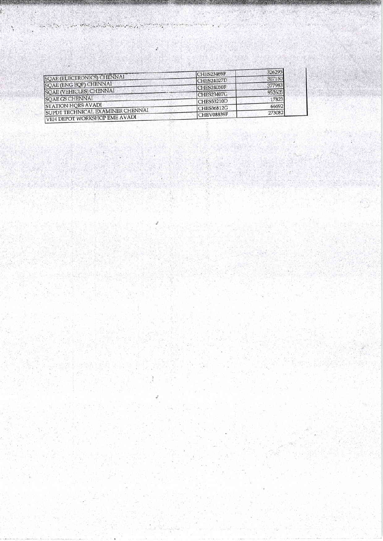|                                  | CHES23469F        | 326295 |
|----------------------------------|-------------------|--------|
| SQAE (ELECTRONICS) CHENNAI       | <b>CHES24027D</b> | 307150 |
| SQAE (ENG EQP) CHENNAI           | CHES24050F        | 377983 |
| <b>SQAE (VEHICLES) CHENNAI</b>   | CHES23407G        | 952605 |
| <b>SQAE GS CHENNAI</b>           | ICHES53210D       | 17823  |
| STATION HORS AVADI               | CHES36812G        | 66692  |
| SUPDT TECHNICAL EXAMINER CHENNAI | CHEV08839F        | 273082 |
| VEH DEPOT WORKSHOP EME AVADI     |                   |        |

and the contract of the secretary of the company of the contract of the secretary of the secretary of the contract of the secretary of the secretary of the contract of the contract of the secretary of the contract of the c

 $\alpha = \frac{1}{2} \ln \frac{m_{\rm{max}}}{m_{\rm{max}}}$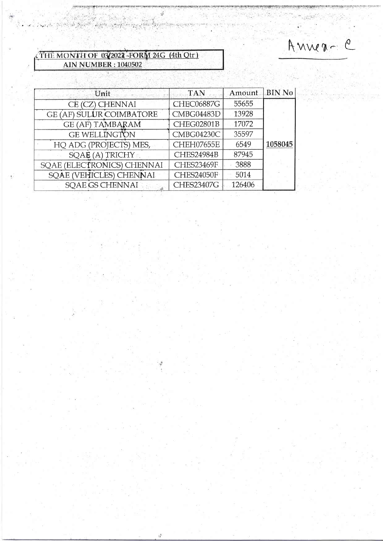Anner-C

## THE MONTH OF 032022 FORM 24G (4th Qtr)

. Samen og til de greket skiper og til for tig er til kriveten kammen

| Unit                            | <b>TAN</b>        | Amount. | <b>BIN No</b> |
|---------------------------------|-------------------|---------|---------------|
| CE (CZ) CHENNAI                 | <b>CHEC06887G</b> | 55655   |               |
| <b>GE (AF) SULUR COIMBATORE</b> | CMBG04483D        | 13928   |               |
| <b>GE (AF) TAMBARAM</b>         | CHEG02801B        | 17072   |               |
| <b>GE WELLINGTON</b>            | CMBG04230C        | 35597   |               |
| HQ ADG (PROJECTS) MES,          | <b>CHEH07655E</b> | 6549    | 1058045       |
| SQAE (A) TRICHY                 | CHES24984B        | 87945   |               |
| SQAE (ELECTRONICS) CHENNAI      | <b>CHES23469F</b> | 3888    |               |
| SQAE (VEHICLES) CHENNAI         | <b>CHES24050F</b> | 5014    |               |
| <b>SQAE GS CHENNAI</b><br>ú.    | <b>CHES23407G</b> | 126406  |               |